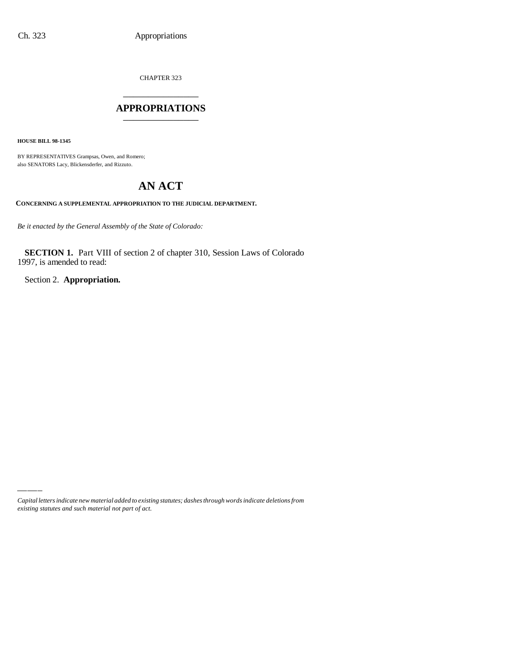CHAPTER 323

## \_\_\_\_\_\_\_\_\_\_\_\_\_\_\_ **APPROPRIATIONS** \_\_\_\_\_\_\_\_\_\_\_\_\_\_\_

**HOUSE BILL 98-1345**

BY REPRESENTATIVES Grampsas, Owen, and Romero; also SENATORS Lacy, Blickensderfer, and Rizzuto.

# **AN ACT**

**CONCERNING A SUPPLEMENTAL APPROPRIATION TO THE JUDICIAL DEPARTMENT.**

*Be it enacted by the General Assembly of the State of Colorado:*

**SECTION 1.** Part VIII of section 2 of chapter 310, Session Laws of Colorado 1997, is amended to read:

Section 2. **Appropriation.**

*Capital letters indicate new material added to existing statutes; dashes through words indicate deletions from existing statutes and such material not part of act.*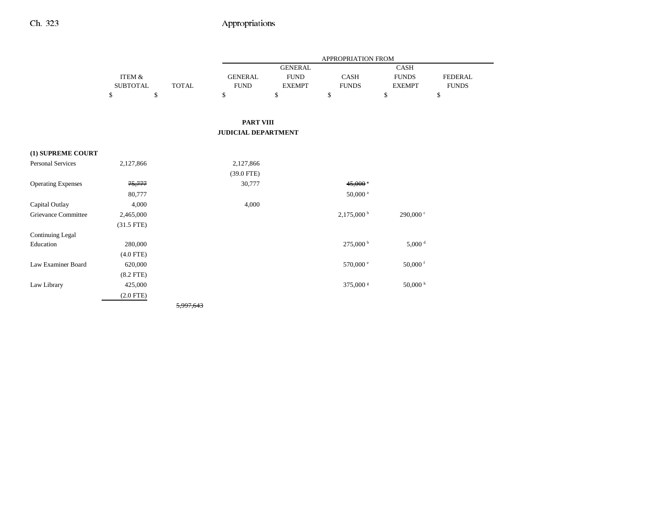|                            |                           |              |                               |                                                | APPROPRIATION FROM       |                                       |                                |
|----------------------------|---------------------------|--------------|-------------------------------|------------------------------------------------|--------------------------|---------------------------------------|--------------------------------|
|                            | ITEM &<br><b>SUBTOTAL</b> | <b>TOTAL</b> | <b>GENERAL</b><br><b>FUND</b> | <b>GENERAL</b><br><b>FUND</b><br><b>EXEMPT</b> | CASH<br><b>FUNDS</b>     | CASH<br><b>FUNDS</b><br><b>EXEMPT</b> | <b>FEDERAL</b><br><b>FUNDS</b> |
|                            | \$                        | \$           | \$                            | \$                                             | \$                       | \$                                    | \$                             |
|                            |                           |              | <b>PART VIII</b>              |                                                |                          |                                       |                                |
|                            |                           |              | <b>JUDICIAL DEPARTMENT</b>    |                                                |                          |                                       |                                |
| (1) SUPREME COURT          |                           |              |                               |                                                |                          |                                       |                                |
| <b>Personal Services</b>   | 2,127,866                 |              | 2,127,866<br>$(39.0$ FTE)     |                                                |                          |                                       |                                |
| <b>Operating Expenses</b>  | 75,777                    |              | 30,777                        |                                                | $45,000$ <sup>a</sup>    |                                       |                                |
|                            | 80,777                    |              |                               |                                                | $50,000$ <sup>a</sup>    |                                       |                                |
| Capital Outlay             | 4,000                     |              | 4,000                         |                                                |                          |                                       |                                |
| <b>Grievance Committee</b> | 2,465,000<br>$(31.5$ FTE) |              |                               |                                                | $2,175,000^{\mathrm{b}}$ | 290,000 °                             |                                |
| <b>Continuing Legal</b>    |                           |              |                               |                                                |                          |                                       |                                |
| Education                  | 280,000                   |              |                               |                                                | 275,000 <sup>b</sup>     | $5,000$ <sup>d</sup>                  |                                |
|                            | $(4.0$ FTE)               |              |                               |                                                |                          |                                       |                                |
| Law Examiner Board         | 620,000                   |              |                               |                                                | 570,000 °                | 50,000 $f$                            |                                |
|                            | $(8.2$ FTE)               |              |                               |                                                |                          |                                       |                                |
| Law Library                | 425,000                   |              |                               |                                                | 375,000 s                | $50,000$ h                            |                                |
|                            | $(2.0$ FTE)               |              |                               |                                                |                          |                                       |                                |
|                            |                           | 5,997,643    |                               |                                                |                          |                                       |                                |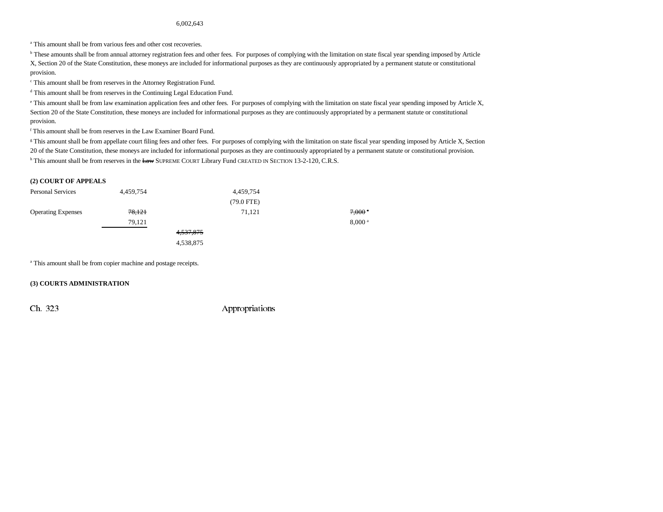#### 6,002,643

<sup>a</sup> This amount shall be from various fees and other cost recoveries.

<sup>b</sup> These amounts shall be from annual attorney registration fees and other fees. For purposes of complying with the limitation on state fiscal year spending imposed by Article X, Section 20 of the State Constitution, these moneys are included for informational purposes as they are continuously appropriated by a permanent statute or constitutional provision.

c This amount shall be from reserves in the Attorney Registration Fund.

d This amount shall be from reserves in the Continuing Legal Education Fund.

e This amount shall be from law examination application fees and other fees. For purposes of complying with the limitation on state fiscal year spending imposed by Article X, Section 20 of the State Constitution, these moneys are included for informational purposes as they are continuously appropriated by a permanent statute or constitutional provision.

f This amount shall be from reserves in the Law Examiner Board Fund.

<sup>g</sup> This amount shall be from appellate court filing fees and other fees. For purposes of complying with the limitation on state fiscal year spending imposed by Article X, Section 20 of the State Constitution, these moneys are included for informational purposes as they are continuously appropriated by a permanent statute or constitutional provision.  $^{\rm h}$  This amount shall be from reserves in the  $E\!a\!w$  SUPREME COURT Library Fund CREATED IN SECTION 13-2-120, C.R.S.

#### **(2) COURT OF APPEALS**

| <b>Personal Services</b>  | 4,459,754 |             | 4,459,754    |                    |
|---------------------------|-----------|-------------|--------------|--------------------|
|                           |           |             | $(79.0$ FTE) |                    |
| <b>Operating Expenses</b> | 78,121    |             | 71,121       | $7,000$ $^{\circ}$ |
|                           | 79,121    |             |              | 8,000 <sup>a</sup> |
|                           |           | 4, 537, 875 |              |                    |
|                           |           | 4,538,875   |              |                    |

<sup>a</sup> This amount shall be from copier machine and postage receipts.

#### **(3) COURTS ADMINISTRATION**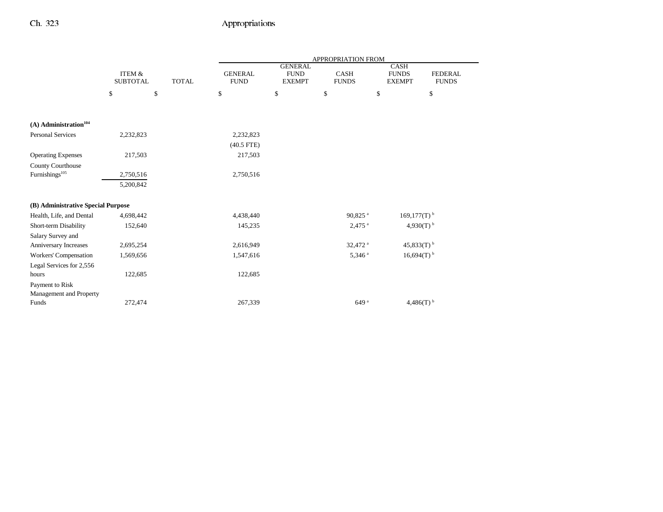|                                     |                                      |              |                               |                                                | APPROPRIATION FROM          |                                              |                                |
|-------------------------------------|--------------------------------------|--------------|-------------------------------|------------------------------------------------|-----------------------------|----------------------------------------------|--------------------------------|
|                                     | <b>ITEM &amp;</b><br><b>SUBTOTAL</b> | <b>TOTAL</b> | <b>GENERAL</b><br><b>FUND</b> | <b>GENERAL</b><br><b>FUND</b><br><b>EXEMPT</b> | <b>CASH</b><br><b>FUNDS</b> | <b>CASH</b><br><b>FUNDS</b><br><b>EXEMPT</b> | <b>FEDERAL</b><br><b>FUNDS</b> |
|                                     | \$                                   | \$           | \$                            | \$                                             | \$                          | \$                                           | \$                             |
|                                     |                                      |              |                               |                                                |                             |                                              |                                |
| $(A)$ Administration <sup>104</sup> |                                      |              |                               |                                                |                             |                                              |                                |
| <b>Personal Services</b>            | 2,232,823                            |              | 2,232,823                     |                                                |                             |                                              |                                |
|                                     |                                      |              | $(40.5$ FTE)                  |                                                |                             |                                              |                                |
| <b>Operating Expenses</b>           | 217,503                              |              | 217,503                       |                                                |                             |                                              |                                |
| <b>County Courthouse</b>            |                                      |              |                               |                                                |                             |                                              |                                |
| Furnishings <sup>105</sup>          | 2,750,516                            |              | 2,750,516                     |                                                |                             |                                              |                                |
|                                     | 5,200,842                            |              |                               |                                                |                             |                                              |                                |
| (B) Administrative Special Purpose  |                                      |              |                               |                                                |                             |                                              |                                |
| Health, Life, and Dental            | 4,698,442                            |              | 4,438,440                     |                                                | 90,825 <sup>a</sup>         | $169,177(T)$ <sup>b</sup>                    |                                |
| Short-term Disability               | 152,640                              |              | 145,235                       |                                                | $2,475$ <sup>a</sup>        | 4,930(T) $^{\rm b}$                          |                                |
| Salary Survey and                   |                                      |              |                               |                                                |                             |                                              |                                |
| Anniversary Increases               | 2,695,254                            |              | 2,616,949                     |                                                | 32,472 <sup>a</sup>         | $45,833(T)$ <sup>b</sup>                     |                                |
| Workers' Compensation               | 1,569,656                            |              | 1,547,616                     |                                                | $5,346$ <sup>a</sup>        | $16,694(T)$ <sup>b</sup>                     |                                |
| Legal Services for 2,556            |                                      |              |                               |                                                |                             |                                              |                                |
| hours                               | 122,685                              |              | 122,685                       |                                                |                             |                                              |                                |
| Payment to Risk                     |                                      |              |                               |                                                |                             |                                              |                                |
| Management and Property             |                                      |              |                               |                                                |                             |                                              |                                |
| Funds                               | 272,474                              |              | 267,339                       |                                                | 649 <sup>a</sup>            | 4,486 $(T)$ <sup>b</sup>                     |                                |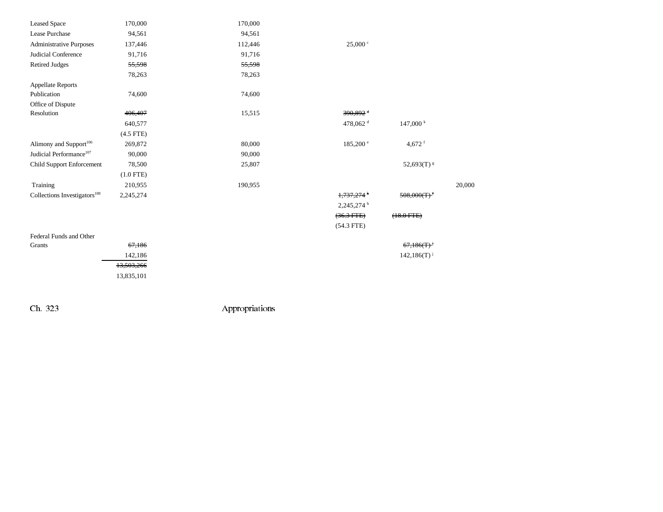| <b>Leased Space</b>                      | 170,000     | 170,000 |                          |                    |        |
|------------------------------------------|-------------|---------|--------------------------|--------------------|--------|
| Lease Purchase                           | 94,561      | 94,561  |                          |                    |        |
| <b>Administrative Purposes</b>           | 137,446     | 112,446 | 25,000 °                 |                    |        |
| Judicial Conference                      | 91,716      | 91,716  |                          |                    |        |
| <b>Retired Judges</b>                    | 55,598      | 55,598  |                          |                    |        |
|                                          | 78,263      | 78,263  |                          |                    |        |
| <b>Appellate Reports</b>                 |             |         |                          |                    |        |
| Publication                              | 74,600      | 74,600  |                          |                    |        |
| Office of Dispute                        |             |         |                          |                    |        |
| Resolution                               | 406,407     | 15,515  | $390.892 +$              |                    |        |
|                                          | 640,577     |         | 478,062 <sup>d</sup>     | 147,000 k          |        |
|                                          | $(4.5$ FTE) |         |                          |                    |        |
| Alimony and Support <sup>106</sup>       | 269,872     | 80,000  | $185,200^{\circ}$        | 4,672 $f$          |        |
| Judicial Performance <sup>107</sup>      | 90,000      | 90,000  |                          |                    |        |
| Child Support Enforcement                | 78,500      | 25,807  |                          | 52,693(T) $\rm{s}$ |        |
|                                          | $(1.0$ FTE) |         |                          |                    |        |
| Training                                 | 210,955     | 190,955 |                          |                    | 20,000 |
| Collections Investigators <sup>108</sup> | 2,245,274   |         | 1,737,274 <sup>h</sup>   | $508,000(T)^T$     |        |
|                                          |             |         | $2,245,274$ <sup>h</sup> |                    |        |
|                                          |             |         | $(36.3$ FTE $)$          | $(18.0$ FTE)       |        |
|                                          |             |         | $(54.3$ FTE)             |                    |        |
| Federal Funds and Other                  |             |         |                          |                    |        |
| Grants                                   | 67,186      |         |                          | 67,186(T)          |        |
|                                          | 142,186     |         |                          | $142,186(T)^{j}$   |        |
|                                          | 13,503,266  |         |                          |                    |        |

13,835,101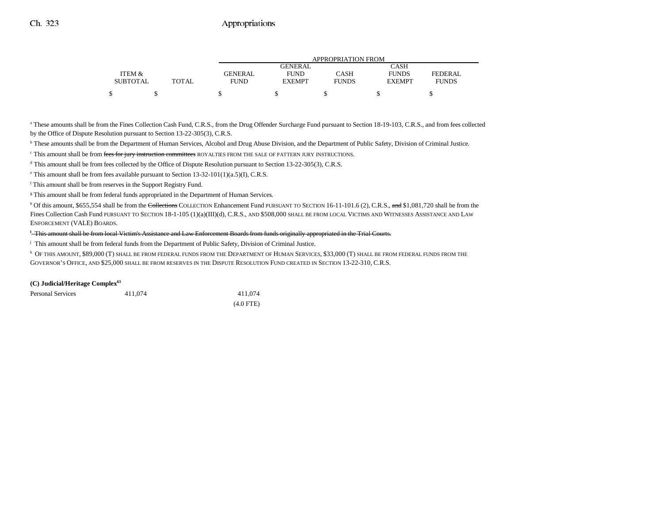|                 |              |                |                | APPROPRIATION FROM |               |              |
|-----------------|--------------|----------------|----------------|--------------------|---------------|--------------|
|                 |              |                | <b>GENERAL</b> |                    | CASH          |              |
| ITEM &          |              | <b>GENERAL</b> | <b>FUND</b>    | CASH               | <b>FUNDS</b>  | FEDERAL      |
| <b>SUBTOTAL</b> | <b>TOTAL</b> | FUND           | <b>EXEMPT</b>  | <b>FUNDS</b>       | <b>EXEMPT</b> | <b>FUNDS</b> |
|                 |              |                |                |                    |               |              |

<sup>a</sup> These amounts shall be from the Fines Collection Cash Fund, C.R.S., from the Drug Offender Surcharge Fund pursuant to Section 18-19-103, C.R.S., and from fees collected by the Office of Dispute Resolution pursuant to Section 13-22-305(3), C.R.S.

**b** These amounts shall be from the Department of Human Services, Alcohol and Drug Abuse Division, and the Department of Public Safety, Division of Criminal Justice.

<sup>c</sup> This amount shall be from fees for jury instruction committees ROYALTIES FROM THE SALE OF PATTERN JURY INSTRUCTIONS.

<sup>d</sup> This amount shall be from fees collected by the Office of Dispute Resolution pursuant to Section 13-22-305(3), C.R.S.

 $\textdegree$  This amount shall be from fees available pursuant to Section 13-32-101(1)(a.5)(I), C.R.S.

f This amount shall be from reserves in the Support Registry Fund.

<sup>g</sup> This amount shall be from federal funds appropriated in the Department of Human Services.

<sup>h</sup> Of this amount, \$655,554 shall be from the Collections COLLECTION Enhancement Fund PURSUANT TO SECTION 16-11-101.6 (2), C.R.S., and \$1,081,720 shall be from the Fines Collection Cash Fund PURSUANT TO SECTION 18-1-105 (1)(a)(III)(d), C.R.S., AND \$508,000 SHALL BE FROM LOCAL VICTIMS AND WITNESSES ASSISTANCE AND LAW ENFORCEMENT (VALE) BOARDS.

<sup>1</sup>-This amount shall be from local Victim's Assistance and Law Enforcement Boards from funds originally appropriated in the Trial Courts.

j This amount shall be from federal funds from the Department of Public Safety, Division of Criminal Justice.

 $^\mathrm{k}$  Of this amount, \$89,000 (T) shall be from federal funds from the Department of Human Services, \$33,000 (T) shall be from federal funds from the GOVERNOR'S OFFICE, AND \$25,000 SHALL BE FROM RESERVES IN THE DISPUTE RESOLUTION FUND CREATED IN SECTION 13-22-310, C.R.S.

#### **(C) Judicial/Heritage Complex63**

| <b>Personal Services</b> | 411,074 | 411,074     |
|--------------------------|---------|-------------|
|                          |         | $(4.0$ FTE) |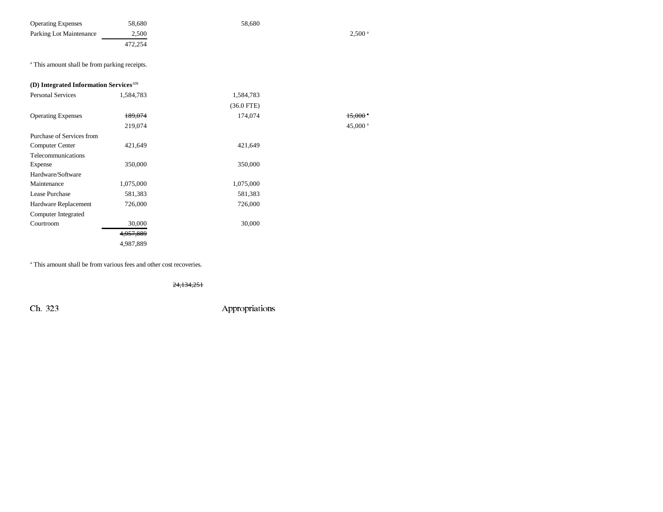| <b>Operating Expenses</b>                                | 58,680    | 58,680       |                       |
|----------------------------------------------------------|-----------|--------------|-----------------------|
| Parking Lot Maintenance                                  | 2,500     |              | $2,500$ <sup>a</sup>  |
|                                                          | 472,254   |              |                       |
| <sup>a</sup> This amount shall be from parking receipts. |           |              |                       |
| (D) Integrated Information Services $109$                |           |              |                       |
| <b>Personal Services</b>                                 | 1,584,783 | 1,584,783    |                       |
|                                                          |           | $(36.0$ FTE) |                       |
| <b>Operating Expenses</b>                                | 189,074   | 174,074      | $15,000$ <sup>a</sup> |
|                                                          | 219,074   |              | 45,000 $^{\circ}$     |
| Purchase of Services from                                |           |              |                       |
| <b>Computer Center</b>                                   | 421,649   | 421.649      |                       |
| Telecommunications                                       |           |              |                       |

Expense 350,000 350,000

45,000  $^{\mathrm{a}}$ 

#### Hardware/Software Maintenance 1,075,000 1,075,000 Lease Purchase

| Lease Purchase       | 581,383   | 581,383 |
|----------------------|-----------|---------|
| Hardware Replacement | 726,000   | 726,000 |
| Computer Integrated  |           |         |
| Courtroom            | 30,000    | 30,000  |
|                      | 4,957,889 |         |
|                      | 4,987,889 |         |

a This amount shall be from various fees and other cost recoveries.

24,134,251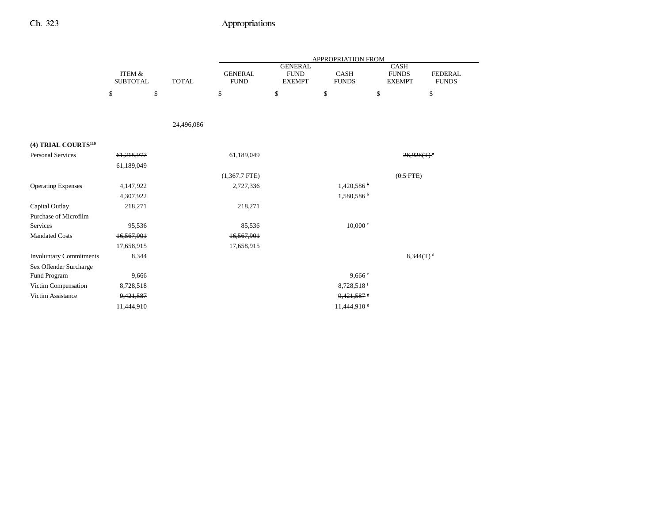|                                 |                                      |              |                               |                                                | APPROPRIATION FROM          |                                              |                                |
|---------------------------------|--------------------------------------|--------------|-------------------------------|------------------------------------------------|-----------------------------|----------------------------------------------|--------------------------------|
|                                 | <b>ITEM &amp;</b><br><b>SUBTOTAL</b> | <b>TOTAL</b> | <b>GENERAL</b><br><b>FUND</b> | <b>GENERAL</b><br><b>FUND</b><br><b>EXEMPT</b> | <b>CASH</b><br><b>FUNDS</b> | <b>CASH</b><br><b>FUNDS</b><br><b>EXEMPT</b> | <b>FEDERAL</b><br><b>FUNDS</b> |
|                                 | \$                                   | \$           | \$                            | \$                                             | \$                          | \$                                           | \$                             |
|                                 |                                      |              |                               |                                                |                             |                                              |                                |
|                                 |                                      | 24,496,086   |                               |                                                |                             |                                              |                                |
| (4) TRIAL COURTS <sup>110</sup> |                                      |              |                               |                                                |                             |                                              |                                |
| <b>Personal Services</b>        | 61,215,977                           |              | 61,189,049                    |                                                |                             | $26,928(T)^{3}$                              |                                |
|                                 | 61,189,049                           |              |                               |                                                |                             |                                              |                                |
|                                 |                                      |              | $(1,367.7$ FTE)               |                                                |                             | $(0.5$ FTE)                                  |                                |
| <b>Operating Expenses</b>       | 4,147,922                            |              | 2,727,336                     |                                                | 1,420,586                   |                                              |                                |
|                                 | 4,307,922                            |              |                               |                                                | 1,580,586 b                 |                                              |                                |
| Capital Outlay                  | 218,271                              |              | 218,271                       |                                                |                             |                                              |                                |
| Purchase of Microfilm           |                                      |              |                               |                                                |                             |                                              |                                |
| Services                        | 95,536                               |              | 85,536                        |                                                | $10,000 \text{°}$           |                                              |                                |
| <b>Mandated Costs</b>           | 16,567,901                           |              | 16,567,901                    |                                                |                             |                                              |                                |
|                                 | 17,658,915                           |              | 17,658,915                    |                                                |                             |                                              |                                |
| <b>Involuntary Commitments</b>  | 8,344                                |              |                               |                                                |                             | $8,344(T)^d$                                 |                                |
| Sex Offender Surcharge          |                                      |              |                               |                                                |                             |                                              |                                |
| Fund Program                    | 9,666                                |              |                               |                                                | 9,666e                      |                                              |                                |
| Victim Compensation             | 8,728,518                            |              |                               |                                                | 8,728,518 $f$               |                                              |                                |
| Victim Assistance               | 9,421,587                            |              |                               |                                                | 9,421,587                   |                                              |                                |
|                                 | 11,444,910                           |              |                               |                                                | 11,444,910 \$               |                                              |                                |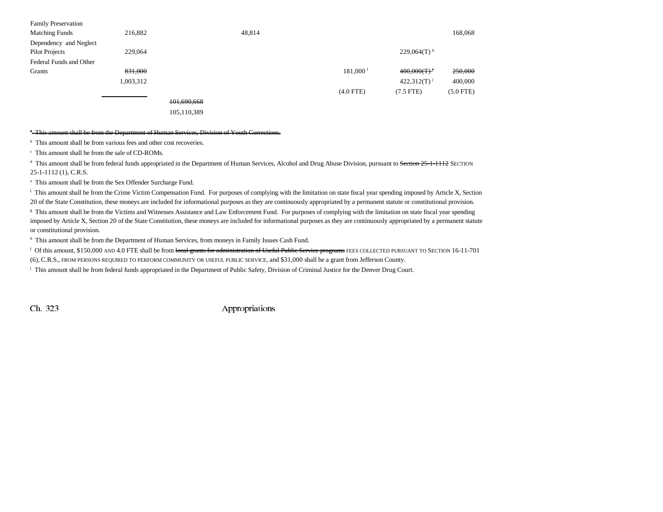| <b>Family Preservation</b> |           |             |        |                      |                           |             |
|----------------------------|-----------|-------------|--------|----------------------|---------------------------|-------------|
| <b>Matching Funds</b>      | 216,882   |             | 48,814 |                      |                           | 168,068     |
| Dependency and Neglect     |           |             |        |                      |                           |             |
| Pilot Projects             | 229,064   |             |        |                      | $229,064(T)$ <sup>h</sup> |             |
| Federal Funds and Other    |           |             |        |                      |                           |             |
| Grants                     | 831,000   |             |        | $181,000^{\text{T}}$ | 400,000(T)                | 250,000     |
|                            | 1,003,312 |             |        |                      | $422,312(T)^{j}$          | 400,000     |
|                            |           |             |        | $(4.0$ FTE)          | $(7.5$ FTE)               | $(5.0$ FTE) |
|                            |           | 101,690,668 |        |                      |                           |             |

105,110,389

#### <sup>\*</sup>-This amount shall be from the Department of Human Services, Division of Youth Corrections.

<sup>b</sup> This amount shall be from various fees and other cost recoveries.

c This amount shall be from the sale of CD-ROMs.

<sup>d</sup> This amount shall be from federal funds appropriated in the Department of Human Services, Alcohol and Drug Abuse Division, pursuant to Section 25-1-1112 SECTION 25-1-1112 (1), C.R.S.

e This amount shall be from the Sex Offender Surcharge Fund.

<sup>f</sup> This amount shall be from the Crime Victim Compensation Fund. For purposes of complying with the limitation on state fiscal year spending imposed by Article X, Section 20 of the State Constitution, these moneys are included for informational purposes as they are continuously appropriated by a permanent statute or constitutional provision.

<sup>g</sup> This amount shall be from the Victims and Witnesses Assistance and Law Enforcement Fund. For purposes of complying with the limitation on state fiscal year spending imposed by Article X, Section 20 of the State Constitution, these moneys are included for informational purposes as they are continuously appropriated by a permanent statute or constitutional provision.

<sup>h</sup> This amount shall be from the Department of Human Services, from moneys in Family Issues Cash Fund.

<sup>I</sup> Of this amount, \$150,000 AND 4.0 FTE shall be from local grants for administration of Useful Public Service programs FEES COLLECTED PURSUANT TO SECTION 16-11-701

(6), C.R.S., FROM PERSONS REQUIRED TO PERFORM COMMUNITY OR USEFUL PUBLIC SERVICE, and \$31,000 shall be a grant from Jefferson County.

<sup>j</sup> This amount shall be from federal funds appropriated in the Department of Public Safety, Division of Criminal Justice for the Denver Drug Court.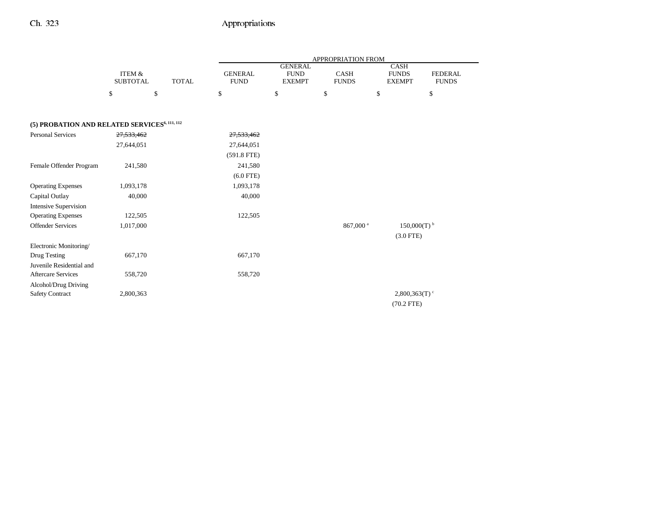|                                                           |                                      |              |                               |                                                | APPROPRIATION FROM          |                                              |                                |
|-----------------------------------------------------------|--------------------------------------|--------------|-------------------------------|------------------------------------------------|-----------------------------|----------------------------------------------|--------------------------------|
|                                                           | <b>ITEM &amp;</b><br><b>SUBTOTAL</b> | <b>TOTAL</b> | <b>GENERAL</b><br><b>FUND</b> | <b>GENERAL</b><br><b>FUND</b><br><b>EXEMPT</b> | <b>CASH</b><br><b>FUNDS</b> | <b>CASH</b><br><b>FUNDS</b><br><b>EXEMPT</b> | <b>FEDERAL</b><br><b>FUNDS</b> |
|                                                           | \$                                   | \$           | \$                            | \$                                             | \$                          | \$                                           | \$                             |
| (5) PROBATION AND RELATED SERVICES <sup>6, 111, 112</sup> |                                      |              |                               |                                                |                             |                                              |                                |
|                                                           |                                      |              |                               |                                                |                             |                                              |                                |
| Personal Services                                         | 27,533,462                           |              | 27,533,462                    |                                                |                             |                                              |                                |
|                                                           | 27,644,051                           |              | 27,644,051                    |                                                |                             |                                              |                                |
|                                                           |                                      |              | $(591.8$ FTE)                 |                                                |                             |                                              |                                |
| Female Offender Program                                   | 241,580                              |              | 241,580                       |                                                |                             |                                              |                                |
|                                                           |                                      |              | $(6.0$ FTE)                   |                                                |                             |                                              |                                |
| <b>Operating Expenses</b>                                 | 1,093,178                            |              | 1,093,178                     |                                                |                             |                                              |                                |
| Capital Outlay                                            | 40,000                               |              | 40,000                        |                                                |                             |                                              |                                |
| <b>Intensive Supervision</b>                              |                                      |              |                               |                                                |                             |                                              |                                |
| <b>Operating Expenses</b>                                 | 122,505                              |              | 122,505                       |                                                |                             |                                              |                                |
| <b>Offender Services</b>                                  | 1,017,000                            |              |                               |                                                | 867,000 <sup>a</sup>        | $150,000(T)$ <sup>b</sup>                    |                                |
|                                                           |                                      |              |                               |                                                |                             | $(3.0$ FTE)                                  |                                |
| Electronic Monitoring/                                    |                                      |              |                               |                                                |                             |                                              |                                |
| Drug Testing                                              | 667,170                              |              | 667,170                       |                                                |                             |                                              |                                |
| Juvenile Residential and                                  |                                      |              |                               |                                                |                             |                                              |                                |
| <b>Aftercare Services</b>                                 | 558,720                              |              | 558,720                       |                                                |                             |                                              |                                |
| Alcohol/Drug Driving                                      |                                      |              |                               |                                                |                             |                                              |                                |
| <b>Safety Contract</b>                                    | 2,800,363                            |              |                               |                                                |                             | $2,800,363(T)$ <sup>c</sup>                  |                                |
|                                                           |                                      |              |                               |                                                |                             | $(70.2$ FTE)                                 |                                |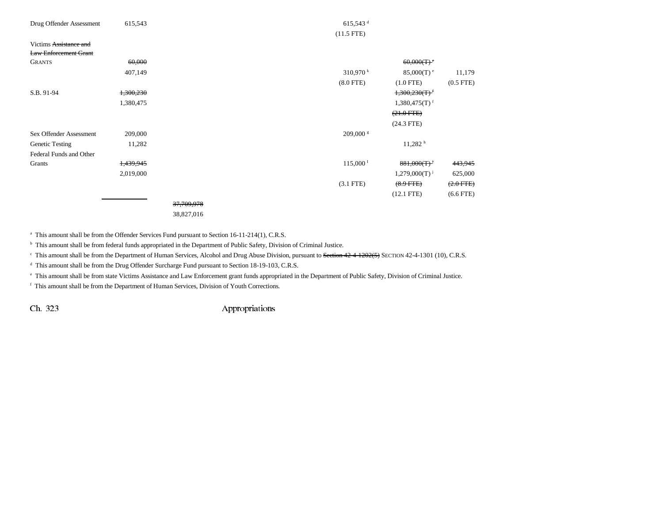| Drug Offender Assessment     | 615,543   |            | $615,543$ <sup>d</sup> |                             |                |
|------------------------------|-----------|------------|------------------------|-----------------------------|----------------|
|                              |           |            | $(11.5$ FTE)           |                             |                |
| Victims Assistance and       |           |            |                        |                             |                |
| <b>Law Enforcement Grant</b> |           |            |                        |                             |                |
| <b>GRANTS</b>                | 60,000    |            |                        | $60,000(T)$ <sup>e</sup>    |                |
|                              | 407,149   |            | $310,970$ k            | $85,000(T)$ <sup>e</sup>    | 11,179         |
|                              |           |            | $(8.0$ FTE)            | $(1.0$ FTE)                 | $(0.5$ FTE $)$ |
| S.B. 91-94                   | 1,300,230 |            |                        | $1,300,230(T)$ <sup>f</sup> |                |
|                              | 1,380,475 |            |                        | $1,380,475(T)$ <sup>f</sup> |                |
|                              |           |            |                        | $(21.0$ FTE)                |                |
|                              |           |            |                        | $(24.3$ FTE)                |                |
| Sex Offender Assessment      | 209,000   |            | $209,000$ s            |                             |                |
| Genetic Testing              | 11,282    |            |                        | 11,282 h                    |                |
| Federal Funds and Other      |           |            |                        |                             |                |
| Grants                       | 1,439,945 |            | $115,000^{\mathrm{T}}$ | $881,000(T)^{j}$            | 443,945        |
|                              | 2,019,000 |            |                        | $1,279,000(T)$ <sup>j</sup> | 625,000        |
|                              |           |            | $(3.1$ FTE)            | $(8.9$ FTE)                 | $(2.0$ FTE)    |
|                              |           |            |                        | $(12.1$ FTE)                | $(6.6$ FTE)    |
|                              |           | 37,709,978 |                        |                             |                |
|                              |           |            |                        |                             |                |

38,827,016

<sup>a</sup> This amount shall be from the Offender Services Fund pursuant to Section 16-11-214(1), C.R.S.

<sup>b</sup> This amount shall be from federal funds appropriated in the Department of Public Safety, Division of Criminal Justice.

<sup>c</sup> This amount shall be from the Department of Human Services, Alcohol and Drug Abuse Division, pursuant to Section 42-4-1202(5) SECTION 42-4-1301 (10), C.R.S.

<sup>d</sup> This amount shall be from the Drug Offender Surcharge Fund pursuant to Section 18-19-103, C.R.S.

e This amount shall be from state Victims Assistance and Law Enforcement grant funds appropriated in the Department of Public Safety, Division of Criminal Justice.

f This amount shall be from the Department of Human Services, Division of Youth Corrections.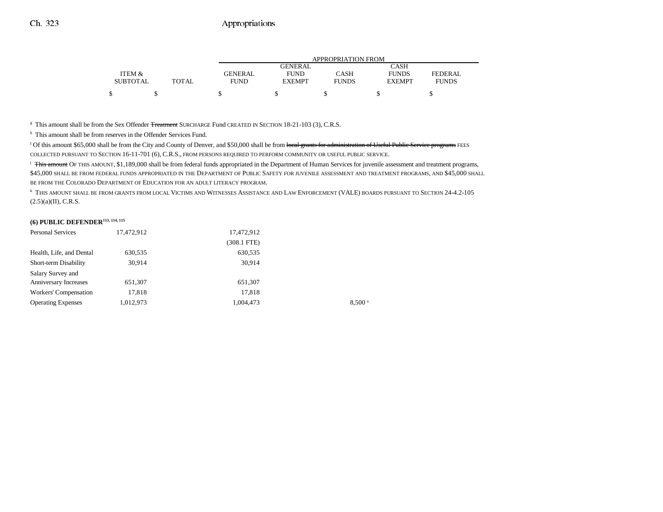|                 |       | <b>APPROPRIATION FROM</b> |                |              |               |              |
|-----------------|-------|---------------------------|----------------|--------------|---------------|--------------|
|                 |       |                           | <b>GENERAL</b> |              | CASH          |              |
| ITEM &          |       | GENERAL                   | <b>FUND</b>    | CASH         | <b>FUNDS</b>  | FEDERAL      |
| <b>SUBTOTAL</b> | TOTAL | FUND                      | <b>EXEMPT</b>  | <b>FUNDS</b> | <b>EXEMPT</b> | <b>FUNDS</b> |
|                 |       |                           |                |              |               |              |
|                 |       |                           |                |              |               |              |

 $^\circ$  This amount shall be from the Sex Offender <del>Treatment</del> SURCHARGE Fund CREATED IN SECTION 18-21-103 (3), C.R.S.

<sup>h</sup> This amount shall be from reserves in the Offender Services Fund.

<sup>1</sup> Of this amount \$65,000 shall be from the City and County of Denver, and \$50,000 shall be from local grants for administration of Useful Public Service programs FEES COLLECTED PURSUANT TO SECTION 16-11-701 (6), C.R.S., FROM PERSONS REQUIRED TO PERFORM COMMUNITY OR USEFUL PUBLIC SERVICE.

<sup>j</sup> This amount OF THIS AMOUNT, \$1,189,000 shall be from federal funds appropriated in the Department of Human Services for juvenile assessment and treatment programs, \$45,000 SHALL BE FROM FEDERAL FUNDS APPROPRIATED IN THE DEPARTMENT OF PUBLIC SAFETY FOR JUVENILE ASSESSMENT AND TREATMENT PROGRAMS, AND \$45,000 SHALL BE FROM THE COLORADO DEPARTMENT OF EDUCATION FOR AN ADULT LITERACY PROGRAM.

k THIS AMOUNT SHALL BE FROM GRANTS FROM LOCAL VICTIMS AND WITNESSES ASSISTANCE AND LAW ENFORCEMENT (VALE) BOARDS PURSUANT TO SECTION 24-4.2-105  $(2.5)(a)(II)$ , C.R.S.

### **(6) PUBLIC DEFENDER113, 114, 115**

| <b>Personal Services</b>     | 17,472,912 | 17,472,912    |                    |
|------------------------------|------------|---------------|--------------------|
|                              |            | $(308.1$ FTE) |                    |
| Health, Life, and Dental     | 630,535    | 630,535       |                    |
| Short-term Disability        | 30,914     | 30.914        |                    |
| Salary Survey and            |            |               |                    |
| <b>Anniversary Increases</b> | 651,307    | 651,307       |                    |
| Workers' Compensation        | 17,818     | 17,818        |                    |
| <b>Operating Expenses</b>    | 1,012,973  | 1,004,473     | 8.500 <sup>a</sup> |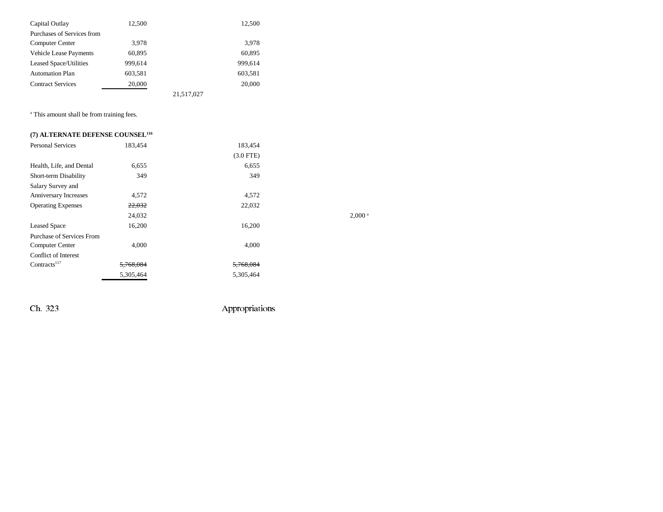| Capital Outlay                | 12,500  |            | 12,500  |
|-------------------------------|---------|------------|---------|
| Purchases of Services from    |         |            |         |
| Computer Center               | 3.978   |            | 3,978   |
| <b>Vehicle Lease Payments</b> | 60,895  |            | 60,895  |
| <b>Leased Space/Utilities</b> | 999,614 |            | 999,614 |
| <b>Automation Plan</b>        | 603,581 |            | 603,581 |
| <b>Contract Services</b>      | 20,000  |            | 20,000  |
|                               |         | 21,517,027 |         |

<sup>a</sup> This amount shall be from training fees.

| (7) ALTERNATE DEFENSE COUNSEL <sup>116</sup> |           |             |                      |
|----------------------------------------------|-----------|-------------|----------------------|
| <b>Personal Services</b>                     | 183.454   | 183.454     |                      |
|                                              |           | $(3.0$ FTE) |                      |
| Health, Life, and Dental                     | 6,655     | 6,655       |                      |
| Short-term Disability                        | 349       | 349         |                      |
| Salary Survey and                            |           |             |                      |
| Anniversary Increases                        | 4,572     | 4,572       |                      |
| <b>Operating Expenses</b>                    | 22,032    | 22,032      |                      |
|                                              | 24,032    |             | $2,000$ <sup>a</sup> |
| <b>Leased Space</b>                          | 16,200    | 16,200      |                      |
| Purchase of Services From                    |           |             |                      |
| Computer Center                              | 4,000     | 4,000       |                      |
| <b>Conflict of Interest</b>                  |           |             |                      |
| Contracts <sup>117</sup>                     | 5,768,084 | 5,768,084   |                      |
|                                              | 5,305,464 | 5,305,464   |                      |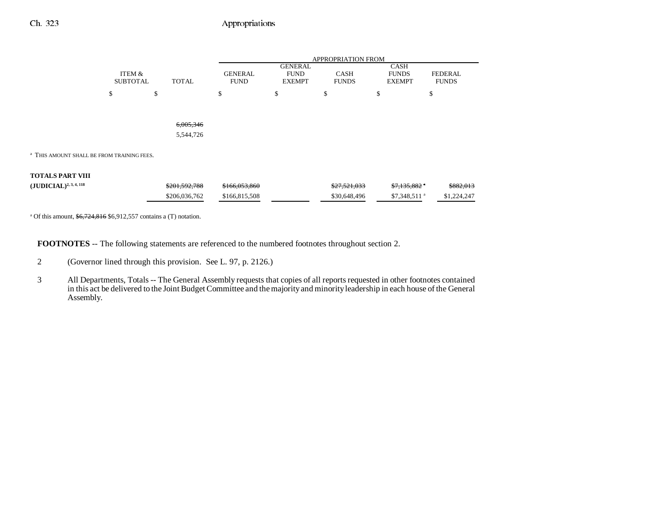## Ch. 323 Appropriations

|                                                                                                        |                                           | APPROPRIATION FROM |                               |                                                |                             |                                              |                                |  |
|--------------------------------------------------------------------------------------------------------|-------------------------------------------|--------------------|-------------------------------|------------------------------------------------|-----------------------------|----------------------------------------------|--------------------------------|--|
|                                                                                                        | ITEM &<br><b>SUBTOTAL</b><br><b>TOTAL</b> |                    | <b>GENERAL</b><br><b>FUND</b> | <b>GENERAL</b><br><b>FUND</b><br><b>EXEMPT</b> | <b>CASH</b><br><b>FUNDS</b> | <b>CASH</b><br><b>FUNDS</b><br><b>EXEMPT</b> | <b>FEDERAL</b><br><b>FUNDS</b> |  |
|                                                                                                        | \$                                        | \$                 | \$                            | \$                                             | \$                          | \$                                           | \$                             |  |
|                                                                                                        |                                           |                    |                               |                                                |                             |                                              |                                |  |
|                                                                                                        |                                           | 6,005,346          |                               |                                                |                             |                                              |                                |  |
|                                                                                                        |                                           | 5,544,726          |                               |                                                |                             |                                              |                                |  |
| <sup>a</sup> THIS AMOUNT SHALL BE FROM TRAINING FEES.                                                  |                                           |                    |                               |                                                |                             |                                              |                                |  |
| TOTALS PART VIII                                                                                       |                                           |                    |                               |                                                |                             |                                              |                                |  |
| $(\textbf{J}\textbf{U}\textbf{D}\textbf{I}\textbf{C}\textbf{I}\textbf{A}\textbf{L})^{2,\,3,\,4,\,118}$ |                                           | \$201,592,788      | \$166,053,860                 |                                                | \$27,521,033                | $$7,135,882$ *                               | \$882,013                      |  |
|                                                                                                        |                                           | \$206,036,762      | \$166,815,508                 |                                                | \$30,648,496                | \$7,348,511 <sup>a</sup>                     | \$1,224,247                    |  |

<sup>a</sup> Of this amount,  $$6,724,816$  \$6,912,557 contains a (T) notation.

**FOOTNOTES** -- The following statements are referenced to the numbered footnotes throughout section 2.

- 2 (Governor lined through this provision. See L. 97, p. 2126.)
- 3 All Departments, Totals -- The General Assembly requests that copies of all reports requested in other footnotes contained in this act be delivered to the Joint Budget Committee and the majority and minority leadership in each house of the General Assembly.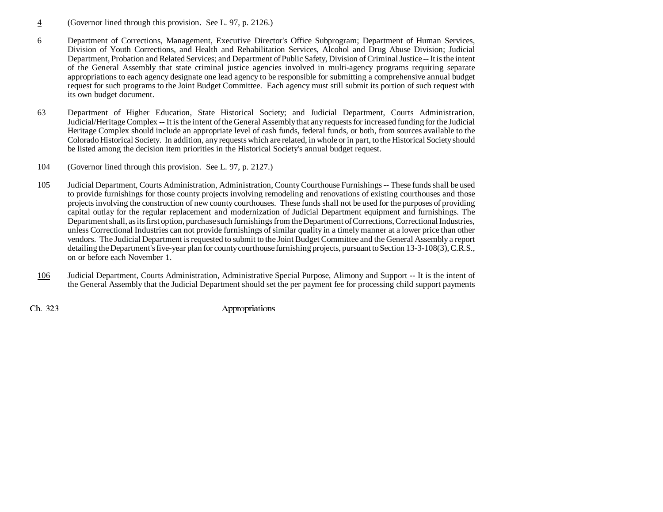- 4(Governor lined through this provision. See L. 97, p. 2126.)
- 6 Department of Corrections, Management, Executive Director's Office Subprogram; Department of Human Services, Division of Youth Corrections, and Health and Rehabilitation Services, Alcohol and Drug Abuse Division; Judicial Department, Probation and Related Services; and Department of Public Safety, Division of Criminal Justice -- It is the intent of the General Assembly that state criminal justice agencies involved in multi-agency programs requiring separate appropriations to each agency designate one lead agency to be responsible for submitting a comprehensive annual budget request for such programs to the Joint Budget Committee. Each agency must still submit its portion of such request with its own budget document.
- 63 Department of Higher Education, State Historical Society; and Judicial Department, Courts Administration, Judicial/Heritage Complex -- It is the intent of the General Assembly that any requests for increased funding for the Judicial Heritage Complex should include an appropriate level of cash funds, federal funds, or both, from sources available to the Colorado Historical Society. In addition, any requests which are related, in whole or in part, to the Historical Society shoul d be listed among the decision item priorities in the Historical Society's annual budget request.
- 104(Governor lined through this provision. See L. 97, p. 2127.)
- 105 Judicial Department, Courts Administration, Administration, County Courthouse Furnishings -- These funds shall be used to provide furnishings for those county projects involving remodeling and renovations of existing courthouses and those projects involving the construction of new county courthouses. These funds shall not be used for the purposes of providing capital outlay for the regular replacement and modernization of Judicial Department equipment and furnishings. The Department shall, as its first option, purchase such furnishings from the Department of Corrections, Correctional Industries, unless Correctional Industries can not provide furnishings of similar quality in a timely manner at a lower price than other vendors. The Judicial Department is requested to submit to the Joint Budget Committee and the General Assembly a report detailing the Department's five-year plan for county courthouse furnishing projects, pursuant to Section 13-3-108(3), C.R.S., on or before each November 1.
- 106 Judicial Department, Courts Administration, Administrative Special Purpose, Alimony and Support **--** It is the intent of the General Assembly that the Judicial Department should set the per payment fee for processing child support payments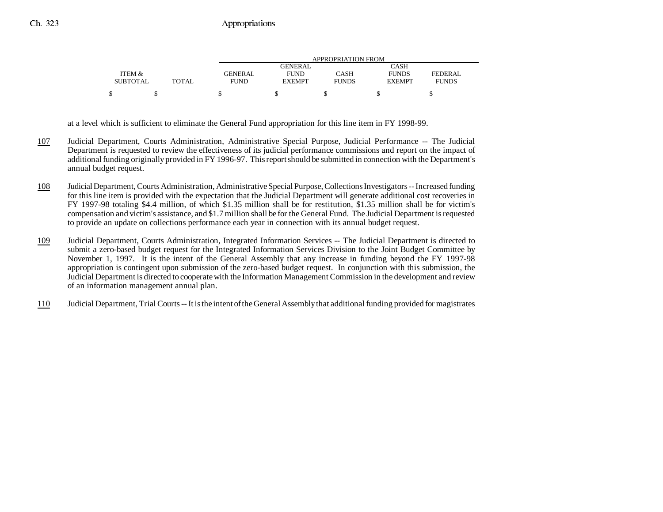|                 |              | APPROPRIATION FROM |               |              |               |              |
|-----------------|--------------|--------------------|---------------|--------------|---------------|--------------|
|                 |              |                    | GENERAL       |              | CASH          |              |
| ITEM &          |              | <b>GENERAL</b>     | <b>FUND</b>   | CASH         | <b>FUNDS</b>  | FEDERAL      |
| <b>SUBTOTAL</b> | <b>TOTAL</b> | FUND               | <b>EXEMPT</b> | <b>FUNDS</b> | <b>EXEMPT</b> | <b>FUNDS</b> |
|                 |              |                    |               |              |               |              |

at a level which is sufficient to eliminate the General Fund appropriation for this line item in FY 1998-99.

- 107 Judicial Department, Courts Administration, Administrative Special Purpose, Judicial Performance -- The Judicial Department is requested to review the effectiveness of its judicial performance commissions and report on the impact of additional funding originally provided in FY 1996-97. This report should be submitted in connection with the Department's annual budget request.
- 108 Judicial Department, Courts Administration, Administrative Special Purpose, Collections Investigators -- Increased funding for this line item is provided with the expectation that the Judicial Department will generate additional cost recoveries in FY 1997-98 totaling \$4.4 million, of which \$1.35 million shall be for restitution, \$1.35 million shall be for victim's compensation and victim's assistance, and \$1.7 million shall be for the General Fund. The Judicial Department is requested to provide an update on collections performance each year in connection with its annual budget request.
- 109 Judicial Department, Courts Administration, Integrated Information Services -- The Judicial Department is directed to submit a zero-based budget request for the Integrated Information Services Division to the Joint Budget Committee by November 1, 1997. It is the intent of the General Assembly that any increase in funding beyond the FY 1997-98 appropriation is contingent upon submission of the zero-based budget request. In conjunction with this submission, the Judicial Department is directed to cooperate with the Information Management Commission in the development and review of an information management annual plan.
- 110Judicial Department, Trial Courts-- It is the intent of the General Assembly that additional funding provided for magistrates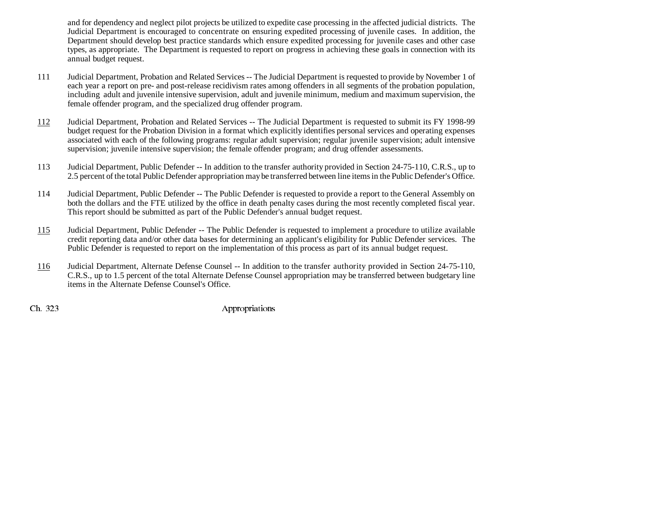and for dependency and neglect pilot projects be utilized to expedite case processing in the affected judicial districts. The Judicial Department is encouraged to concentrate on ensuring expedited processing of juvenile cases. In addition, the Department should develop best practice standards which ensure expedited processing for juvenile cases and other case types, as appropriate. The Department is requested to report on progress in achieving these goals in connection with its annual budget request.

- 111 Judicial Department, Probation and Related Services -- The Judicial Department is requested to provide by November 1 of each year a report on pre- and post-release recidivism rates among offenders in all segments of the probation population, including adult and juvenile intensive supervision, adult and juvenile minimum, medium and maximum supervision, the female offender program, and the specialized drug offender program.
- 112 Judicial Department, Probation and Related Services -- The Judicial Department is requested to submit its FY 1998-99 budget request for the Probation Division in a format which explicitly identifies personal services and operating expenses associated with each of the following programs: regular adult supervision; regular juvenile supervision; adult intensive supervision; juvenile intensive supervision; the female offender program; and drug offender assessments.
- 113 Judicial Department, Public Defender -- In addition to the transfer authority provided in Section 24-75-110, C.R.S., up to 2.5 percent of the total Public Defender appropriation may be transferred between line items in the Public Defender's Office.
- 114 Judicial Department, Public Defender -- The Public Defender is requested to provide a report to the General Assembly on both the dollars and the FTE utilized by the office in death penalty cases during the most recently completed fiscal year. This report should be submitted as part of the Public Defender's annual budget request.
- 115 Judicial Department, Public Defender -- The Public Defender is requested to implement a procedure to utilize available credit reporting data and/or other data bases for determining an applicant's eligibility for Public Defender services. The Public Defender is requested to report on the implementation of this process as part of its annual budget request.
- 116 Judicial Department, Alternate Defense Counsel -- In addition to the transfer authority provided in Section 24-75-110, C.R.S., up to 1.5 percent of the total Alternate Defense Counsel appropriation may be transferred between budgetary line items in the Alternate Defense Counsel's Office.